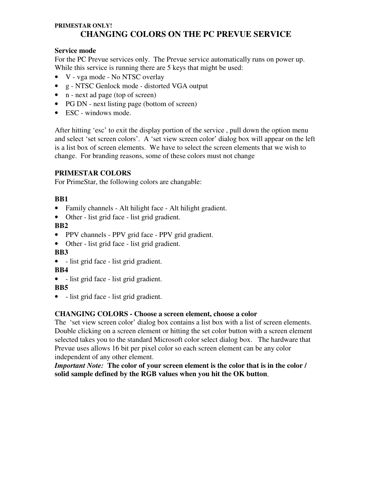## **PRIMESTAR ONLY! CHANGING COLORS ON THE PC PREVUE SERVICE**

## **Service mode**

For the PC Prevue services only. The Prevue service automatically runs on power up. While this service is running there are 5 keys that might be used:

- V vga mode No NTSC overlay
- g NTSC Genlock mode distorted VGA output
- n next ad page (top of screen)
- PG DN next listing page (bottom of screen)
- ESC windows mode.

After hitting 'esc' to exit the display portion of the service , pull down the option menu and select 'set screen colors'. A 'set view screen color' dialog box will appear on the left is a list box of screen elements. We have to select the screen elements that we wish to change. For branding reasons, some of these colors must not change

# **PRIMESTAR COLORS**

For PrimeStar, the following colors are changable:

# **BB1**

- Family channels Alt hilight face Alt hilight gradient.
- Other list grid face list grid gradient.

## **BB2**

- PPV channels PPV grid face PPV grid gradient.
- Other list grid face list grid gradient.

**BB3**

• - list grid face - list grid gradient.

## **BB4**

• - list grid face - list grid gradient.

## **BB5**

• - list grid face - list grid gradient.

## **CHANGING COLORS - Choose a screen element, choose a color**

The 'set view screen color' dialog box contains a list box with a list of screen elements. Double clicking on a screen element or hitting the set color button with a screen element selected takes you to the standard Microsoft color select dialog box. The hardware that Prevue uses allows 16 bit per pixel color so each screen element can be any color independent of any other element.

*Important Note:* **The color of your screen element is the color that is in the color / solid sample defined by the RGB values when you hit the OK button**.